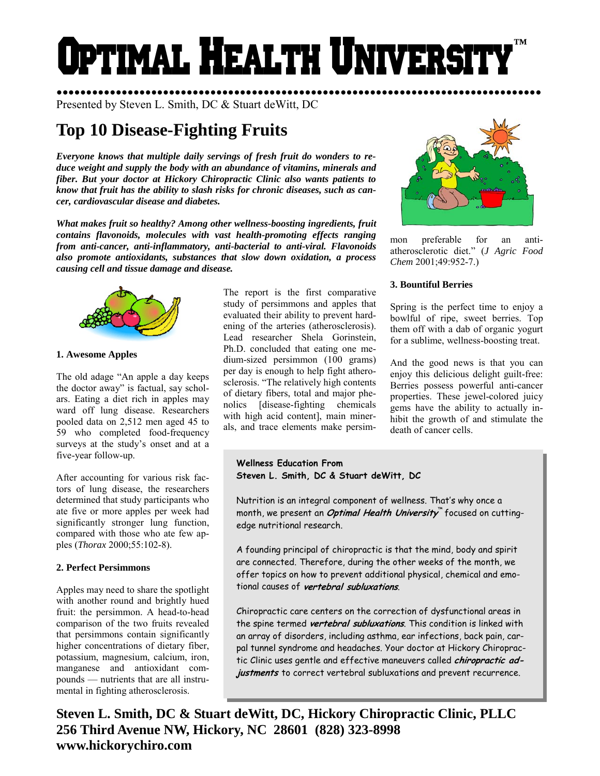# Optimal Health Universi **™**

●●●●●●●●●●●●●●●●●●●●●●●●●●●●●●●●●●●●●●●●●●●●●●●●●●●●●●●●●●●●●●●●●●●●●●●●●●●●●●●●●● Presented by Steven L. Smith, DC & Stuart deWitt, DC

# **Top 10 Disease-Fighting Fruits**

*Everyone knows that multiple daily servings of fresh fruit do wonders to reduce weight and supply the body with an abundance of vitamins, minerals and fiber. But your doctor at Hickory Chiropractic Clinic also wants patients to know that fruit has the ability to slash risks for chronic diseases, such as cancer, cardiovascular disease and diabetes.* 

*What makes fruit so healthy? Among other wellness-boosting ingredients, fruit contains flavonoids, molecules with vast health-promoting effects ranging from anti-cancer, anti-inflammatory, anti-bacterial to anti-viral. Flavonoids also promote antioxidants, substances that slow down oxidation, a process causing cell and tissue damage and disease.* 



#### **1. Awesome Apples**

The old adage "An apple a day keeps the doctor away" is factual, say scholars. Eating a diet rich in apples may ward off lung disease. Researchers pooled data on 2,512 men aged 45 to 59 who completed food-frequency surveys at the study's onset and at a five-year follow-up.

After accounting for various risk factors of lung disease, the researchers determined that study participants who ate five or more apples per week had significantly stronger lung function, compared with those who ate few apples (*Thorax* 2000;55:102-8).

# **2. Perfect Persimmons**

Apples may need to share the spotlight with another round and brightly hued fruit: the persimmon. A head-to-head comparison of the two fruits revealed that persimmons contain significantly higher concentrations of dietary fiber, potassium, magnesium, calcium, iron, manganese and antioxidant compounds — nutrients that are all instrumental in fighting atherosclerosis.

The report is the first comparative study of persimmons and apples that evaluated their ability to prevent hardening of the arteries (atherosclerosis). Lead researcher Shela Gorinstein, Ph.D. concluded that eating one medium-sized persimmon (100 grams) per day is enough to help fight atherosclerosis. "The relatively high contents of dietary fibers, total and major phenolics [disease-fighting chemicals with high acid content], main minerals, and trace elements make persim-



mon preferable for an antiatherosclerotic diet." (*J Agric Food Chem* 2001;49:952-7.)

# **3. Bountiful Berries**

Spring is the perfect time to enjoy a bowlful of ripe, sweet berries. Top them off with a dab of organic yogurt for a sublime, wellness-boosting treat.

And the good news is that you can enjoy this delicious delight guilt-free: Berries possess powerful anti-cancer properties. These jewel-colored juicy gems have the ability to actually inhibit the growth of and stimulate the death of cancer cells.

**Wellness Education From Steven L. Smith, DC & Stuart deWitt, DC** 

Nutrition is an integral component of wellness. That's why once a month, we present an **Optimal Health University**™ focused on cuttingedge nutritional research.

A founding principal of chiropractic is that the mind, body and spirit are connected. Therefore, during the other weeks of the month, we offer topics on how to prevent additional physical, chemical and emotional causes of **vertebral subluxations**.

Chiropractic care centers on the correction of dysfunctional areas in the spine termed **vertebral subluxations**. This condition is linked with an array of disorders, including asthma, ear infections, back pain, carpal tunnel syndrome and headaches. Your doctor at Hickory Chiropractic Clinic uses gentle and effective maneuvers called **chiropractic adjustments** to correct vertebral subluxations and prevent recurrence.

**Steven L. Smith, DC & Stuart deWitt, DC, Hickory Chiropractic Clinic, PLLC 256 Third Avenue NW, Hickory, NC 28601 (828) 323-8998 www.hickorychiro.com**